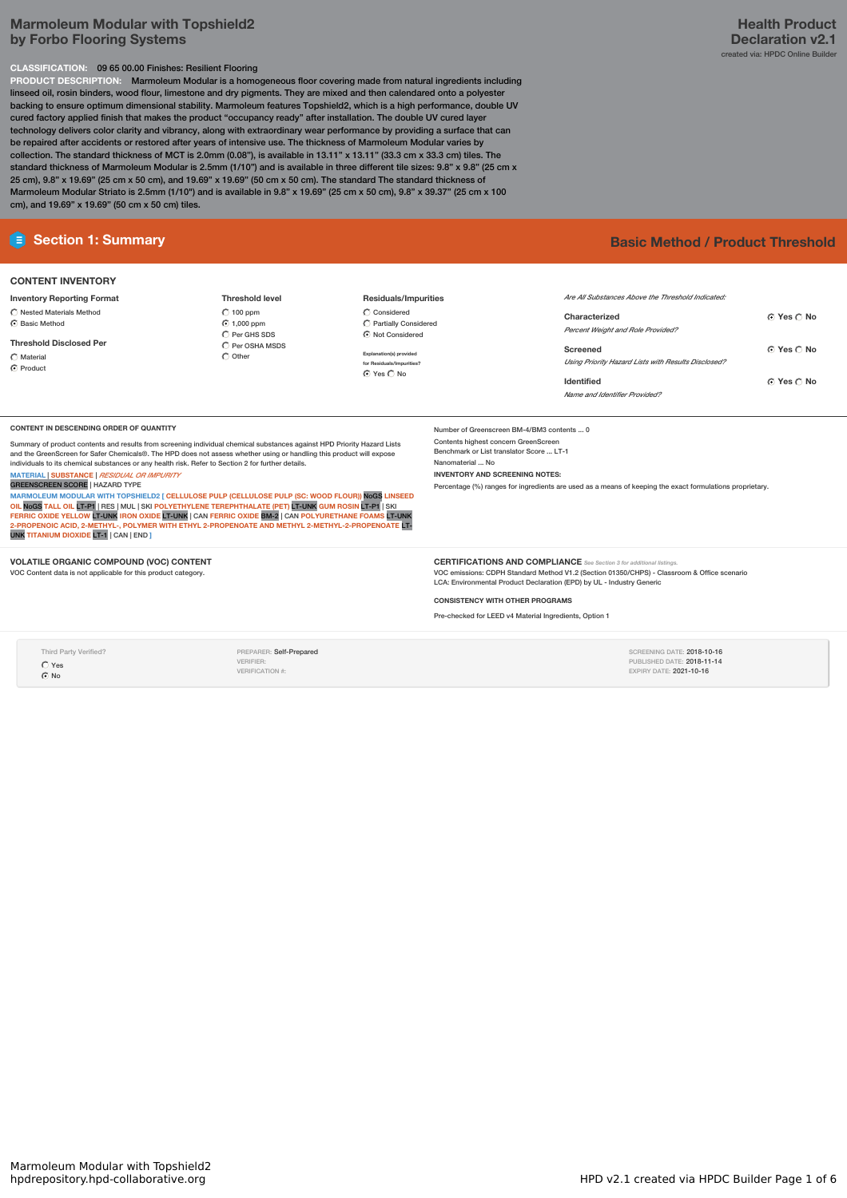# **Marmoleum Modular with Topshield2 by Forbo Flooring Systems**

# **CLASSIFICATION:** 09 65 00.00 Finishes: Resilient Flooring

**PRODUCT DESCRIPTION:** Marmoleum Modular is a homogeneous floor covering made from natural ingredients including linseed oil, rosin binders, wood flour, limestone and dry pigments. They are mixed and then calendared onto a polyester backing to ensure optimum dimensional stability. Marmoleum features Topshield2, which is a high performance, double UV cured factory applied finish that makes the product "occupancy ready" after installation. The double UV cured layer technology delivers color clarity and vibrancy, along with extraordinary wear performance by providing a surface that can be repaired after accidents or restored after years of intensive use. The thickness of Marmoleum Modular varies by collection. The standard thickness of MCT is 2.0mm (0.08"), is available in 13.11" x 13.11" (33.3 cm x 33.3 cm) tiles. The standard thickness of Marmoleum Modular is 2.5mm (1/10") and is available in three different tile sizes: 9.8" x 9.8" (25 cm x 25 cm), 9.8" x 19.69" (25 cm x 50 cm), and 19.69" x 19.69" (50 cm x 50 cm). The standard The standard thickness of Marmoleum Modular Striato is 2.5mm (1/10") and is available in 9.8" x 19.69" (25 cm x 50 cm), 9.8" x 39.37" (25 cm x 100 cm), and 19.69" x 19.69" (50 cm x 50 cm) tiles.

# **CONTENT INVENTORY**

**Inventory Reporting Format**  $\bigcirc$  Nested Materials Method  $\overline{\odot}$  Basic Method

**Threshold Disclosed Per**  $\bigcap$  Material  $\overline{\odot}$  Product

**Threshold level**  $\bigcirc$  100 ppm  $\odot$  1,000 ppm  $\overline{O}$  Per GHS SDS  $\bigcirc$  Per OSHA MSDS  $\overline{\bigcirc}$  Other

**Residuals/Impurities**  $\bigcirc$  Considered  $\hat{C}$  Partially Conside Not Considered

**Explanation(s) provided for Residuals/Impurities?** Yes No

**E** Section 1: Summary **Basic** Method / Product Threshold

| Are All Substances Above the Threshold Indicated    |                   |
|-----------------------------------------------------|-------------------|
| Characterized                                       | ⊙ Yes ∩ No        |
| <b>Percent Weight and Role Provided?</b>            |                   |
| Screened                                            | <b>G</b> Yes C No |
| Using Priority Hazard Lists with Results Disclosed? |                   |
| Identified                                          | <b>G</b> Yes C No |
| Name and Identifier Provided?                       |                   |
|                                                     |                   |

### **CONTENT IN DESCENDING ORDER OF QUANTITY**

Summary of product contents and results from screening individual chemical substances against HPD Priority Hazard Lists and the GreenScreen for Safer Chemicals®. The HPD does not assess whether using or handling this product will expose individuals to its chemical substances or any health risk. Refer to Section 2 for further details. **MATERIAL** |**SUBSTANCE** |*RESIDUAL OR IMPURITY*

GREENSCREEN SCORE | HAZARD TYPE<br>MARMOLEUM MODULAR WITH TOPSHIELD2 | CELLULOSE PULP (CELLULOSE PULP | MARMOLEUM MODULAR WITH TOPSHIELD2 [ CELLULOSE PULP (CELLULOSE PULP (SC: WOOD FLOUR)) NoG**S** LINSEED<br>OIL <mark>NOGS</mark> TALL OIL LT-P1 | RES | MUL | SKI POLYETHYLENE TEREPHTHALATE (PET) LT-UNK GUM ROSIN LT-P1 | SKI<br>FERRIC OXIDE YEL UNK **TITANIUM DIOXIDE** LT-1 | CAN |END **]**

## **VOLATILE ORGANIC COMPOUND (VOC) CONTENT**

VOC Content data is not applicable for this product category.

**CERTIFICATIONS AND COMPLIANCE** See Section 3 for additional

VOC emissions: CDPH Standard Method V1.2 (Section 01350/CHPS) - Classroom & Office scenario LCA: Environmental Product Declaration (EPD) by UL - Industry Generic

Percentage (%) ranges for ingredients are used as a means of keeping the exact formulations proprietary.

### **CONSISTENCY WITH OTHER PROGRAMS**

Number of Greenscreen BM-4/BM3 contents ... 0 Contents highest concern GreenScreen Benchmark or List translator Score ... LT-1

**INVENTORY AND SCREENING NOTES:**

Nanomaterial ... No

Pre-checked for LEED v4 Material Ingredients, Option 1

Third Party Verified?  $\overline{C}$  Yes  $\odot$  No

PREPARER: Self-Prepared VERIFIER: VERIFICATION #:

# SCREENING DATE: 2018-10-16 PUBLISHED DATE: **2018-11-14**<br>EXPIRY DATE: **2021-10-16**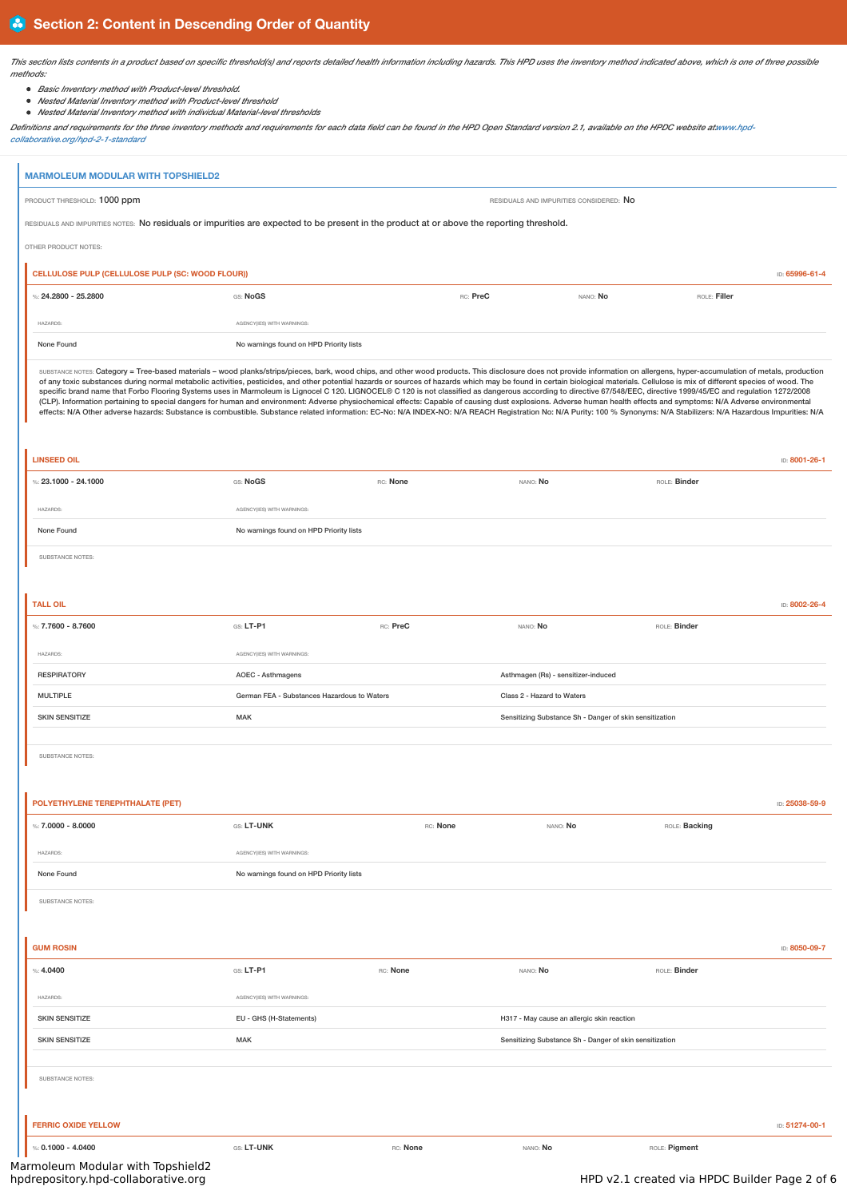This section lists contents in a product based on specific threshold(s) and reports detailed health information including hazards. This HPD uses the inventory method indicated above, which is one of three possible *methods:*

- *Basic Inventory method with Product-level threshold.*
- *Nested Material Inventory method with Product-level threshold*
- *Nested Material Inventory method with individual Material-level thresholds*

Definitions and requirements for the three inventory methods and requirements for each data field can be found in the HPD Open Standard version 2.1, available on the HPDC website at www.hpd*collaborative.org/hpd-2-1-standard*

|                                                  | <b>MARMOLEUM MODULAR WITH TOPSHIELD2</b>                                                                                                                                                                                                                                                                                                                                                                                                                                                                                                                                                                                                                                                                                                                                                                                                                                                                                                                                                                                                                                                                                                  |          |                                                         |               |                |
|--------------------------------------------------|-------------------------------------------------------------------------------------------------------------------------------------------------------------------------------------------------------------------------------------------------------------------------------------------------------------------------------------------------------------------------------------------------------------------------------------------------------------------------------------------------------------------------------------------------------------------------------------------------------------------------------------------------------------------------------------------------------------------------------------------------------------------------------------------------------------------------------------------------------------------------------------------------------------------------------------------------------------------------------------------------------------------------------------------------------------------------------------------------------------------------------------------|----------|---------------------------------------------------------|---------------|----------------|
| PRODUCT THRESHOLD: 1000 ppm                      |                                                                                                                                                                                                                                                                                                                                                                                                                                                                                                                                                                                                                                                                                                                                                                                                                                                                                                                                                                                                                                                                                                                                           |          | RESIDUALS AND IMPURITIES CONSIDERED: NO                 |               |                |
|                                                  | RESIDUALS AND IMPURITIES NOTES: No residuals or impurities are expected to be present in the product at or above the reporting threshold.                                                                                                                                                                                                                                                                                                                                                                                                                                                                                                                                                                                                                                                                                                                                                                                                                                                                                                                                                                                                 |          |                                                         |               |                |
| OTHER PRODUCT NOTES:                             |                                                                                                                                                                                                                                                                                                                                                                                                                                                                                                                                                                                                                                                                                                                                                                                                                                                                                                                                                                                                                                                                                                                                           |          |                                                         |               |                |
| CELLULOSE PULP (CELLULOSE PULP (SC: WOOD FLOUR)) |                                                                                                                                                                                                                                                                                                                                                                                                                                                                                                                                                                                                                                                                                                                                                                                                                                                                                                                                                                                                                                                                                                                                           |          |                                                         |               | ID: 65996-61-4 |
| %: 24.2800 - 25.2800                             | GS: NoGS                                                                                                                                                                                                                                                                                                                                                                                                                                                                                                                                                                                                                                                                                                                                                                                                                                                                                                                                                                                                                                                                                                                                  |          | RC: PreC<br>NANO: No                                    | ROLE: Filler  |                |
|                                                  |                                                                                                                                                                                                                                                                                                                                                                                                                                                                                                                                                                                                                                                                                                                                                                                                                                                                                                                                                                                                                                                                                                                                           |          |                                                         |               |                |
| <b>HAZARDS:</b>                                  | AGENCY(IES) WITH WARNINGS:                                                                                                                                                                                                                                                                                                                                                                                                                                                                                                                                                                                                                                                                                                                                                                                                                                                                                                                                                                                                                                                                                                                |          |                                                         |               |                |
| None Found                                       | No warnings found on HPD Priority lists                                                                                                                                                                                                                                                                                                                                                                                                                                                                                                                                                                                                                                                                                                                                                                                                                                                                                                                                                                                                                                                                                                   |          |                                                         |               |                |
|                                                  | SUBSTANCE NOTES: Category = Tree-based materials - wood planks/strips/pieces, bark, wood chips, and other wood products. This disclosure does not provide information on allergens, hyper-accumulation of metals, production<br>of any toxic substances during normal metabolic activities, pesticides, and other potential hazards or sources of hazards which may be found in certain biological materials. Cellulose is mix of different species of wood. T<br>specific brand name that Forbo Flooring Systems uses in Marmoleum is Lignocel C 120. LIGNOCEL® C 120 is not classified as dangerous according to directive 67/548/EEC, directive 1999/45/EC and regulation 1272/2008<br>(CLP). Information pertaining to special dangers for human and environment: Adverse physiochemical effects: Capable of causing dust explosions. Adverse human health effects and symptoms: N/A Adverse environmental<br>effects: N/A Other adverse hazards: Substance is combustible. Substance related information: EC-No: N/A INDEX-NO: N/A REACH Registration No: N/A Purity: 100 % Synonyms: N/A Stabilizers: N/A Hazardous Impurities: N/A |          |                                                         |               |                |
| <b>LINSEED OIL</b>                               |                                                                                                                                                                                                                                                                                                                                                                                                                                                                                                                                                                                                                                                                                                                                                                                                                                                                                                                                                                                                                                                                                                                                           |          |                                                         |               | ID: 8001-26-1  |
| %: $23.1000 - 24.1000$                           | GS: NoGS                                                                                                                                                                                                                                                                                                                                                                                                                                                                                                                                                                                                                                                                                                                                                                                                                                                                                                                                                                                                                                                                                                                                  | RC: None | NANO: No                                                | ROLE: Binder  |                |
| <b>HAZARDS:</b>                                  | AGENCY(IES) WITH WARNINGS:                                                                                                                                                                                                                                                                                                                                                                                                                                                                                                                                                                                                                                                                                                                                                                                                                                                                                                                                                                                                                                                                                                                |          |                                                         |               |                |
| None Found                                       | No warnings found on HPD Priority lists                                                                                                                                                                                                                                                                                                                                                                                                                                                                                                                                                                                                                                                                                                                                                                                                                                                                                                                                                                                                                                                                                                   |          |                                                         |               |                |
|                                                  |                                                                                                                                                                                                                                                                                                                                                                                                                                                                                                                                                                                                                                                                                                                                                                                                                                                                                                                                                                                                                                                                                                                                           |          |                                                         |               |                |
| SUBSTANCE NOTES:                                 |                                                                                                                                                                                                                                                                                                                                                                                                                                                                                                                                                                                                                                                                                                                                                                                                                                                                                                                                                                                                                                                                                                                                           |          |                                                         |               |                |
|                                                  |                                                                                                                                                                                                                                                                                                                                                                                                                                                                                                                                                                                                                                                                                                                                                                                                                                                                                                                                                                                                                                                                                                                                           |          |                                                         |               |                |
| <b>TALL OIL</b>                                  |                                                                                                                                                                                                                                                                                                                                                                                                                                                                                                                                                                                                                                                                                                                                                                                                                                                                                                                                                                                                                                                                                                                                           |          |                                                         |               | ID: 8002-26-4  |
| %: 7.7600 - 8.7600                               | GS: LT-P1                                                                                                                                                                                                                                                                                                                                                                                                                                                                                                                                                                                                                                                                                                                                                                                                                                                                                                                                                                                                                                                                                                                                 | RC: PreC | NANO: No                                                | ROLE: Binder  |                |
| <b>HAZARDS:</b>                                  | AGENCY(IES) WITH WARNINGS:                                                                                                                                                                                                                                                                                                                                                                                                                                                                                                                                                                                                                                                                                                                                                                                                                                                                                                                                                                                                                                                                                                                |          |                                                         |               |                |
| <b>RESPIRATORY</b>                               | AOEC - Asthmagens                                                                                                                                                                                                                                                                                                                                                                                                                                                                                                                                                                                                                                                                                                                                                                                                                                                                                                                                                                                                                                                                                                                         |          | Asthmagen (Rs) - sensitizer-induced                     |               |                |
| <b>MULTIPLE</b>                                  | German FEA - Substances Hazardous to Waters                                                                                                                                                                                                                                                                                                                                                                                                                                                                                                                                                                                                                                                                                                                                                                                                                                                                                                                                                                                                                                                                                               |          | Class 2 - Hazard to Waters                              |               |                |
| <b>SKIN SENSITIZE</b>                            | <b>MAK</b>                                                                                                                                                                                                                                                                                                                                                                                                                                                                                                                                                                                                                                                                                                                                                                                                                                                                                                                                                                                                                                                                                                                                |          | Sensitizing Substance Sh - Danger of skin sensitization |               |                |
|                                                  |                                                                                                                                                                                                                                                                                                                                                                                                                                                                                                                                                                                                                                                                                                                                                                                                                                                                                                                                                                                                                                                                                                                                           |          |                                                         |               |                |
| SUBSTANCE NOTES:                                 |                                                                                                                                                                                                                                                                                                                                                                                                                                                                                                                                                                                                                                                                                                                                                                                                                                                                                                                                                                                                                                                                                                                                           |          |                                                         |               |                |
|                                                  |                                                                                                                                                                                                                                                                                                                                                                                                                                                                                                                                                                                                                                                                                                                                                                                                                                                                                                                                                                                                                                                                                                                                           |          |                                                         |               |                |
| POLYETHYLENE TEREPHTHALATE (PET)                 |                                                                                                                                                                                                                                                                                                                                                                                                                                                                                                                                                                                                                                                                                                                                                                                                                                                                                                                                                                                                                                                                                                                                           |          |                                                         |               | ID: 25038-59-9 |
| %: $7.0000 - 8.0000$                             | GS: LT-UNK                                                                                                                                                                                                                                                                                                                                                                                                                                                                                                                                                                                                                                                                                                                                                                                                                                                                                                                                                                                                                                                                                                                                | RC: None | NANO: No                                                | ROLE: Backing |                |
| <b>HAZARDS:</b>                                  | AGENCY(IES) WITH WARNINGS:                                                                                                                                                                                                                                                                                                                                                                                                                                                                                                                                                                                                                                                                                                                                                                                                                                                                                                                                                                                                                                                                                                                |          |                                                         |               |                |
| None Found                                       | No warnings found on HPD Priority lists                                                                                                                                                                                                                                                                                                                                                                                                                                                                                                                                                                                                                                                                                                                                                                                                                                                                                                                                                                                                                                                                                                   |          |                                                         |               |                |
|                                                  |                                                                                                                                                                                                                                                                                                                                                                                                                                                                                                                                                                                                                                                                                                                                                                                                                                                                                                                                                                                                                                                                                                                                           |          |                                                         |               |                |
| SUBSTANCE NOTES:                                 |                                                                                                                                                                                                                                                                                                                                                                                                                                                                                                                                                                                                                                                                                                                                                                                                                                                                                                                                                                                                                                                                                                                                           |          |                                                         |               |                |
|                                                  |                                                                                                                                                                                                                                                                                                                                                                                                                                                                                                                                                                                                                                                                                                                                                                                                                                                                                                                                                                                                                                                                                                                                           |          |                                                         |               |                |
| <b>GUM ROSIN</b>                                 |                                                                                                                                                                                                                                                                                                                                                                                                                                                                                                                                                                                                                                                                                                                                                                                                                                                                                                                                                                                                                                                                                                                                           |          |                                                         |               | ID: 8050-09-7  |
| %: 4.0400                                        | GS: LT-P1                                                                                                                                                                                                                                                                                                                                                                                                                                                                                                                                                                                                                                                                                                                                                                                                                                                                                                                                                                                                                                                                                                                                 | RC: None | NANO: No                                                | ROLE: Binder  |                |
| <b>HAZARDS:</b>                                  | AGENCY(IES) WITH WARNINGS:                                                                                                                                                                                                                                                                                                                                                                                                                                                                                                                                                                                                                                                                                                                                                                                                                                                                                                                                                                                                                                                                                                                |          |                                                         |               |                |
| <b>SKIN SENSITIZE</b>                            | EU - GHS (H-Statements)                                                                                                                                                                                                                                                                                                                                                                                                                                                                                                                                                                                                                                                                                                                                                                                                                                                                                                                                                                                                                                                                                                                   |          | H317 - May cause an allergic skin reaction              |               |                |
| <b>SKIN SENSITIZE</b>                            | <b>MAK</b>                                                                                                                                                                                                                                                                                                                                                                                                                                                                                                                                                                                                                                                                                                                                                                                                                                                                                                                                                                                                                                                                                                                                |          | Sensitizing Substance Sh - Danger of skin sensitization |               |                |
|                                                  |                                                                                                                                                                                                                                                                                                                                                                                                                                                                                                                                                                                                                                                                                                                                                                                                                                                                                                                                                                                                                                                                                                                                           |          |                                                         |               |                |
| SUBSTANCE NOTES:                                 |                                                                                                                                                                                                                                                                                                                                                                                                                                                                                                                                                                                                                                                                                                                                                                                                                                                                                                                                                                                                                                                                                                                                           |          |                                                         |               |                |
|                                                  |                                                                                                                                                                                                                                                                                                                                                                                                                                                                                                                                                                                                                                                                                                                                                                                                                                                                                                                                                                                                                                                                                                                                           |          |                                                         |               |                |
| <b>FERRIC OXIDE YELLOW</b>                       |                                                                                                                                                                                                                                                                                                                                                                                                                                                                                                                                                                                                                                                                                                                                                                                                                                                                                                                                                                                                                                                                                                                                           |          |                                                         |               | ID: 51274-00-1 |
|                                                  |                                                                                                                                                                                                                                                                                                                                                                                                                                                                                                                                                                                                                                                                                                                                                                                                                                                                                                                                                                                                                                                                                                                                           |          |                                                         |               |                |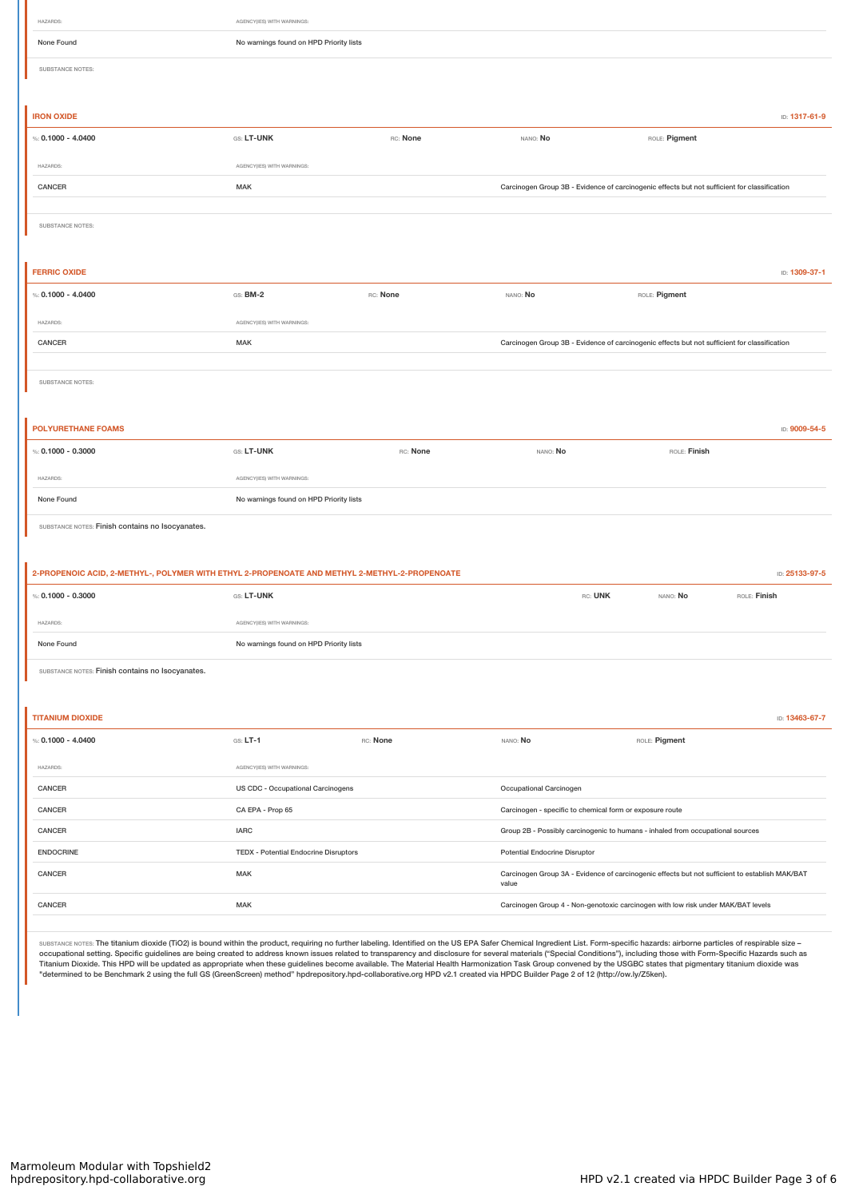| HAZARDS:                                                                                      | AGENCY(IES) WITH WARNINGS:              |          |                                                                                                         |                |                |
|-----------------------------------------------------------------------------------------------|-----------------------------------------|----------|---------------------------------------------------------------------------------------------------------|----------------|----------------|
| None Found                                                                                    | No warnings found on HPD Priority lists |          |                                                                                                         |                |                |
| SUBSTANCE NOTES:                                                                              |                                         |          |                                                                                                         |                |                |
|                                                                                               |                                         |          |                                                                                                         |                |                |
| <b>IRON OXIDE</b>                                                                             |                                         |          |                                                                                                         |                | ID: 1317-61-9  |
| %: $0.1000 - 4.0400$                                                                          | GS: LT-UNK                              | RC: None | NANO: No                                                                                                | ROLE: Pigment  |                |
| HAZARDS:                                                                                      | AGENCY(IES) WITH WARNINGS:              |          |                                                                                                         |                |                |
| CANCER                                                                                        | MAK                                     |          | Carcinogen Group 3B - Evidence of carcinogenic effects but not sufficient for classification            |                |                |
|                                                                                               |                                         |          |                                                                                                         |                |                |
| SUBSTANCE NOTES:                                                                              |                                         |          |                                                                                                         |                |                |
|                                                                                               |                                         |          |                                                                                                         |                |                |
| <b>FERRIC OXIDE</b>                                                                           |                                         |          |                                                                                                         |                | ID: 1309-37-1  |
| %: $0.1000 - 4.0400$                                                                          | $GS: BM-2$                              | RC: None | NANO: No                                                                                                | ROLE: Pigment  |                |
| HAZARDS:                                                                                      | AGENCY(IES) WITH WARNINGS:              |          |                                                                                                         |                |                |
| CANCER                                                                                        | MAK                                     |          | Carcinogen Group 3B - Evidence of carcinogenic effects but not sufficient for classification            |                |                |
|                                                                                               |                                         |          |                                                                                                         |                |                |
| SUBSTANCE NOTES:                                                                              |                                         |          |                                                                                                         |                |                |
|                                                                                               |                                         |          |                                                                                                         |                |                |
| <b>POLYURETHANE FOAMS</b>                                                                     |                                         |          |                                                                                                         |                | ID: 9009-54-5  |
| %: $0.1000 - 0.3000$                                                                          | GS: LT-UNK                              | RC: None | NANO: No                                                                                                | ROLE: Finish   |                |
| HAZARDS:                                                                                      | AGENCY(IES) WITH WARNINGS:              |          |                                                                                                         |                |                |
| None Found                                                                                    | No warnings found on HPD Priority lists |          |                                                                                                         |                |                |
| SUBSTANCE NOTES: Finish contains no Isocyanates.                                              |                                         |          |                                                                                                         |                |                |
|                                                                                               |                                         |          |                                                                                                         |                |                |
| 2-PROPENOIC ACID, 2-METHYL-, POLYMER WITH ETHYL 2-PROPENOATE AND METHYL 2-METHYL-2-PROPENOATE |                                         |          |                                                                                                         | ID: 25133-97-5 |                |
| %: $0.1000 - 0.3000$                                                                          | GS: LT-UNK                              |          | RC: UNK                                                                                                 | NANO: No       | ROLE: Finish   |
|                                                                                               |                                         |          |                                                                                                         |                |                |
| HAZARDS:                                                                                      | AGENCY(IES) WITH WARNINGS:              |          |                                                                                                         |                |                |
| None Found                                                                                    | No warnings found on HPD Priority lists |          |                                                                                                         |                |                |
| SUBSTANCE NOTES: Finish contains no Isocyanates.                                              |                                         |          |                                                                                                         |                |                |
|                                                                                               |                                         |          |                                                                                                         |                |                |
|                                                                                               |                                         |          |                                                                                                         |                |                |
| <b>TITANIUM DIOXIDE</b>                                                                       |                                         |          |                                                                                                         |                | ID: 13463-67-7 |
| %: $0.1000 - 4.0400$                                                                          | $GS: LT-1$                              | RC: None | NANO: No                                                                                                | ROLE: Pigment  |                |
| HAZARDS:                                                                                      | AGENCY(IES) WITH WARNINGS:              |          |                                                                                                         |                |                |
| CANCER                                                                                        | US CDC - Occupational Carcinogens       |          | Occupational Carcinogen                                                                                 |                |                |
| CANCER                                                                                        | CA EPA - Prop 65                        |          | Carcinogen - specific to chemical form or exposure route                                                |                |                |
| CANCER                                                                                        | <b>IARC</b>                             |          | Group 2B - Possibly carcinogenic to humans - inhaled from occupational sources                          |                |                |
| <b>ENDOCRINE</b>                                                                              | TEDX - Potential Endocrine Disruptors   |          | Potential Endocrine Disruptor                                                                           |                |                |
| CANCER                                                                                        | MAK                                     |          | Carcinogen Group 3A - Evidence of carcinogenic effects but not sufficient to establish MAK/BAT<br>value |                |                |

SUBSTANCE NOTES: The titanium dioxide (TiO2) is bound within the product, requiring no further labeling. Identified on the US EPA Safer Chemical Ingredient List. Form-specific hazards: airborne particles of respirable size occupational setting. Specific guidelines are being created to address known issues related to transparency and disclosure for several materials ("Special Conditions"), including those with Form-Specific Hazards such as<br>Ti "determined to be Benchmark 2 using the full GS (GreenScreen) method" hpdrepository.hpd-collaborative.org HPD v2.1 created via HPDC Builder Page 2 of 12 (http://ow.ly/Z5ken).

CANCER CANCER CANCER MAK MAK CARCINOSE CARCINOGEN GROUP 4 - Non-genotoxic carcinogen with low risk under MAK/BAT levels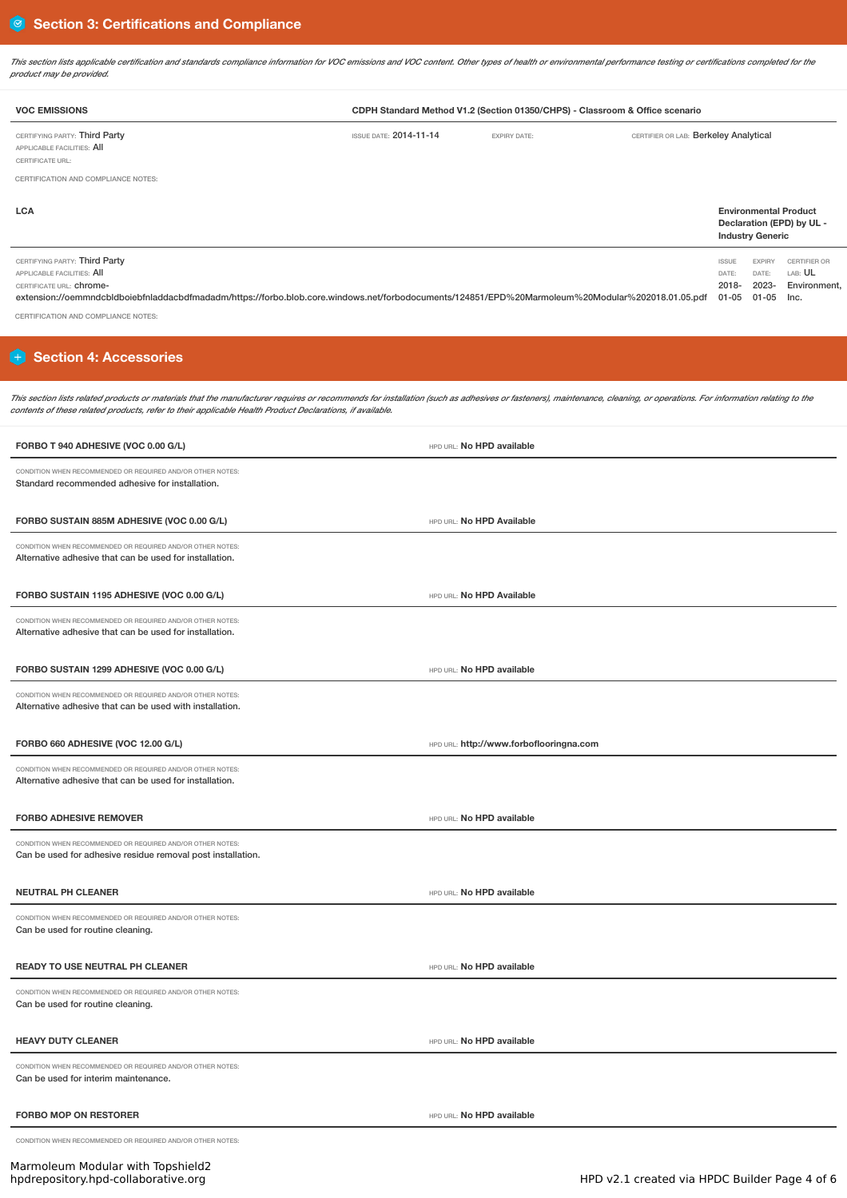This section lists applicable certification and standards compliance information for VOC emissions and VOC content. Other types of health or environmental performance testing or certifications completed for the *product may be provided.*

| <b>VOC EMISSIONS</b>                                                            |                               | CDPH Standard Method V1.2 (Section 01350/CHPS) - Classroom & Office scenario |                                       |                                                           |
|---------------------------------------------------------------------------------|-------------------------------|------------------------------------------------------------------------------|---------------------------------------|-----------------------------------------------------------|
| CERTIFYING PARTY: Third Party<br>APPLICABLE FACILITIES: AII<br>CERTIFICATE URL: | <b>ISSUE DATE: 2014-11-14</b> | <b>EXPIRY DATE:</b>                                                          | CERTIFIER OR LAB: Berkeley Analytical |                                                           |
| CERTIFICATION AND COMPLIANCE NOTES:                                             |                               |                                                                              |                                       |                                                           |
| <b>LCA</b>                                                                      |                               |                                                                              |                                       | <b>Environmental Product</b><br>Declaration (EPD) by UL - |

|                                                                                                                                                                                                                                                               |                                | <b>Industry Generic</b> |                                                      |
|---------------------------------------------------------------------------------------------------------------------------------------------------------------------------------------------------------------------------------------------------------------|--------------------------------|-------------------------|------------------------------------------------------|
| CERTIFYING PARTY: Third Party<br>APPLICABLE FACILITIES: AII<br>CERTIFICATE URL: Chrome-<br>extension://oemmndcbldboiebfnladdacbdfmadadm/https://forbo.blob.core.windows.net/forbodocuments/124851/EPD%20Marmoleum%20Modular%202018.01.05.pdf 01-05 01-05 lnc. | <b>ISSUE</b><br>DATE:<br>2018- | <b>EXPIRY</b><br>2023-  | CERTIFIER OR<br>DATE: LAB: <b>UL</b><br>Environment, |

CERTIFICATION AND COMPLIANCE NOTES:

# **H** Section 4: Accessories

This section lists related products or materials that the manufacturer requires or recommends for installation (such as adhesives or fasteners), maintenance, cleaning, or operations. For information relating to the *contents of these related products, refer to their applicable Health Product Declarations, if available.*

| FORBO T 940 ADHESIVE (VOC 0.00 G/L)                                                                                       | HPD URL: No HPD available               |
|---------------------------------------------------------------------------------------------------------------------------|-----------------------------------------|
| CONDITION WHEN RECOMMENDED OR REQUIRED AND/OR OTHER NOTES:<br>Standard recommended adhesive for installation.             |                                         |
| FORBO SUSTAIN 885M ADHESIVE (VOC 0.00 G/L)                                                                                | HPD URL: No HPD Available               |
| CONDITION WHEN RECOMMENDED OR REQUIRED AND/OR OTHER NOTES:<br>Alternative adhesive that can be used for installation.     |                                         |
| FORBO SUSTAIN 1195 ADHESIVE (VOC 0.00 G/L)                                                                                | HPD URL: No HPD Available               |
| CONDITION WHEN RECOMMENDED OR REQUIRED AND/OR OTHER NOTES:<br>Alternative adhesive that can be used for installation.     |                                         |
| FORBO SUSTAIN 1299 ADHESIVE (VOC 0.00 G/L)                                                                                | HPD URL: No HPD available               |
| CONDITION WHEN RECOMMENDED OR REQUIRED AND/OR OTHER NOTES:<br>Alternative adhesive that can be used with installation.    |                                         |
| FORBO 660 ADHESIVE (VOC 12.00 G/L)                                                                                        | HPD URL: http://www.forboflooringna.com |
| CONDITION WHEN RECOMMENDED OR REQUIRED AND/OR OTHER NOTES:<br>Alternative adhesive that can be used for installation.     |                                         |
| <b>FORBO ADHESIVE REMOVER</b>                                                                                             | HPD URL: No HPD available               |
| CONDITION WHEN RECOMMENDED OR REQUIRED AND/OR OTHER NOTES:<br>Can be used for adhesive residue removal post installation. |                                         |
| <b>NEUTRAL PH CLEANER</b>                                                                                                 | HPD URL: No HPD available               |
| CONDITION WHEN RECOMMENDED OR REQUIRED AND/OR OTHER NOTES:<br>Can be used for routine cleaning.                           |                                         |
|                                                                                                                           |                                         |
| READY TO USE NEUTRAL PH CLEANER                                                                                           | HPD URL: No HPD available               |
| CONDITION WHEN RECOMMENDED OR REQUIRED AND/OR OTHER NOTES:<br>Can be used for routine cleaning.                           |                                         |
| <b>HEAVY DUTY CLEANER</b>                                                                                                 | HPD URL: No HPD available               |
| CONDITION WHEN RECOMMENDED OR REQUIRED AND/OR OTHER NOTES:<br>Can be used for interim maintenance.                        |                                         |
| <b>FORBO MOP ON RESTORER</b>                                                                                              | HPD URL: No HPD available               |

Marmoleum Modular with Topshield2<br>hpdrepository.hpd-collaborative.org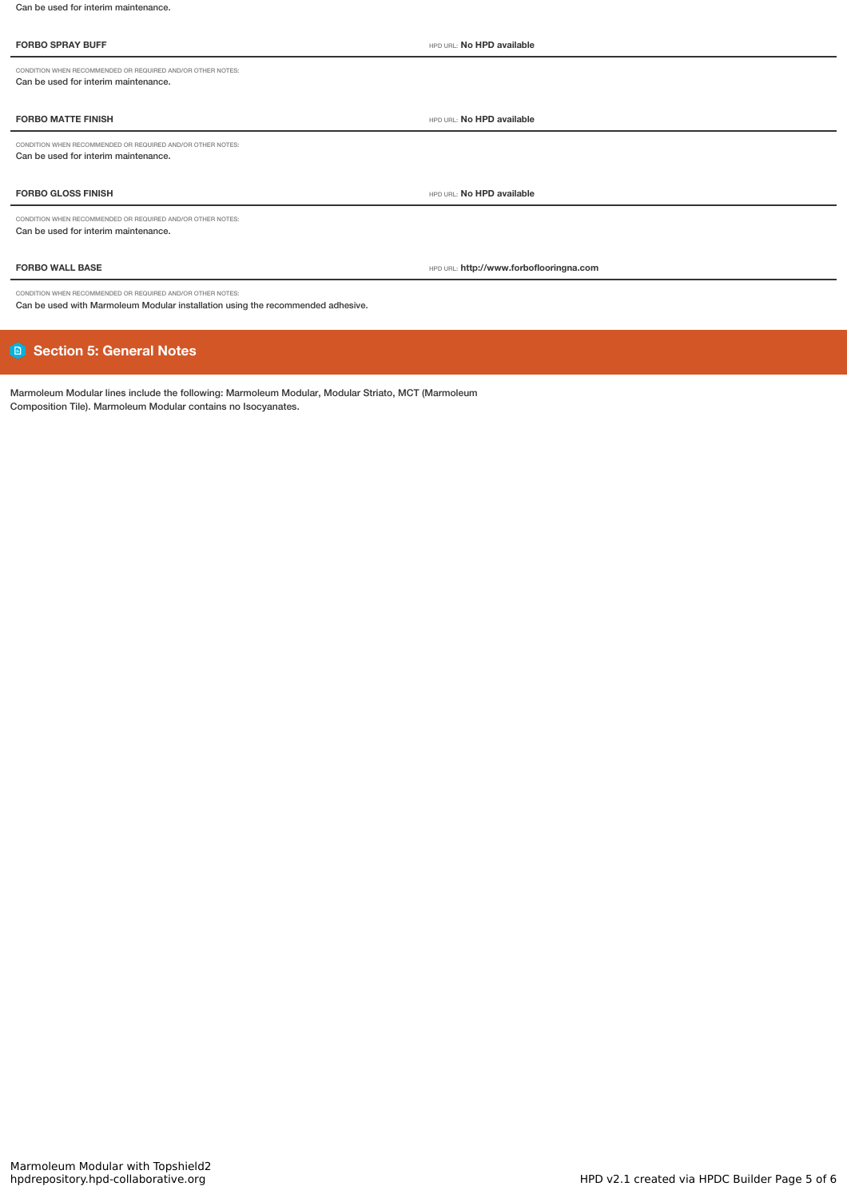### **FORBO SPRAY BUFF** HPD URL: **No HPD available**

CONDITION WHEN RECOMMENDED OR REQUIRED AND/OR OTHER NOTES: Can be used for interim maintenance.

### **FORBO MATTE FINISH** HPD URL: **No HPD available**

CONDITION WHEN RECOMMENDED OR REQUIRED AND/OR OTHER NOTES: Can be used for interim maintenance.

# **FORBO GLOSS FINISH** HPD URL: **No HPD available**

CONDITION WHEN RECOMMENDED OR REQUIRED AND/OR OTHER NOTES: Can be used for interim maintenance.

**FORBO WALL BASE** HPD URL: **http://www.forboflooringna.com**

CONDITION WHEN RECOMMENDED OR REQUIRED AND/OR OTHER NOTES: Can be used with Marmoleum Modular installation using the recommended adhesive.

# **Section 5: General Notes**

Marmoleum Modular lines include the following: Marmoleum Modular, Modular Striato, MCT (Marmoleum Composition Tile). Marmoleum Modular contains no Isocyanates.